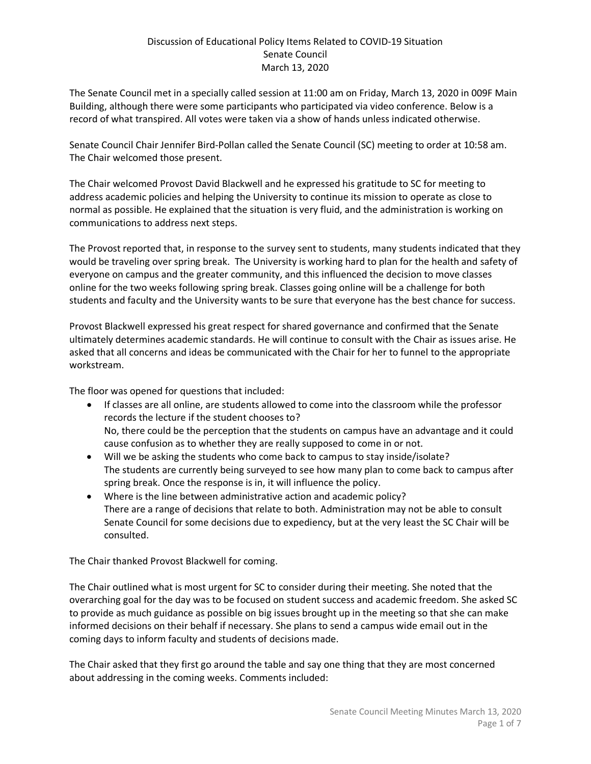The Senate Council met in a specially called session at 11:00 am on Friday, March 13, 2020 in 009F Main Building, although there were some participants who participated via video conference. Below is a record of what transpired. All votes were taken via a show of hands unless indicated otherwise.

Senate Council Chair Jennifer Bird-Pollan called the Senate Council (SC) meeting to order at 10:58 am. The Chair welcomed those present.

The Chair welcomed Provost David Blackwell and he expressed his gratitude to SC for meeting to address academic policies and helping the University to continue its mission to operate as close to normal as possible. He explained that the situation is very fluid, and the administration is working on communications to address next steps.

The Provost reported that, in response to the survey sent to students, many students indicated that they would be traveling over spring break. The University is working hard to plan for the health and safety of everyone on campus and the greater community, and this influenced the decision to move classes online for the two weeks following spring break. Classes going online will be a challenge for both students and faculty and the University wants to be sure that everyone has the best chance for success.

Provost Blackwell expressed his great respect for shared governance and confirmed that the Senate ultimately determines academic standards. He will continue to consult with the Chair as issues arise. He asked that all concerns and ideas be communicated with the Chair for her to funnel to the appropriate workstream.

The floor was opened for questions that included:

- If classes are all online, are students allowed to come into the classroom while the professor records the lecture if the student chooses to? No, there could be the perception that the students on campus have an advantage and it could cause confusion as to whether they are really supposed to come in or not.
- Will we be asking the students who come back to campus to stay inside/isolate? The students are currently being surveyed to see how many plan to come back to campus after spring break. Once the response is in, it will influence the policy.
- Where is the line between administrative action and academic policy? There are a range of decisions that relate to both. Administration may not be able to consult Senate Council for some decisions due to expediency, but at the very least the SC Chair will be consulted.

The Chair thanked Provost Blackwell for coming.

The Chair outlined what is most urgent for SC to consider during their meeting. She noted that the overarching goal for the day was to be focused on student success and academic freedom. She asked SC to provide as much guidance as possible on big issues brought up in the meeting so that she can make informed decisions on their behalf if necessary. She plans to send a campus wide email out in the coming days to inform faculty and students of decisions made.

The Chair asked that they first go around the table and say one thing that they are most concerned about addressing in the coming weeks. Comments included: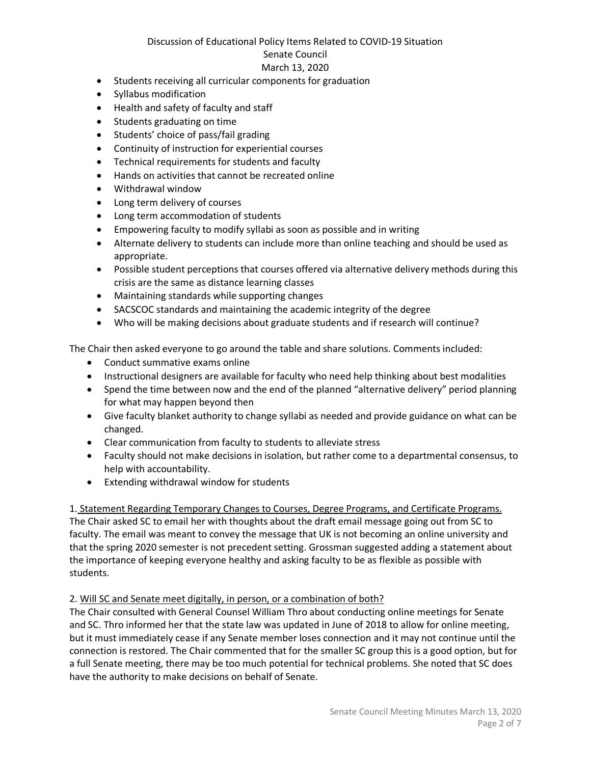### Discussion of Educational Policy Items Related to COVID-19 Situation

### Senate Council

### March 13, 2020

- Students receiving all curricular components for graduation
- Syllabus modification
- Health and safety of faculty and staff
- Students graduating on time
- Students' choice of pass/fail grading
- Continuity of instruction for experiential courses
- Technical requirements for students and faculty
- Hands on activities that cannot be recreated online
- Withdrawal window
- Long term delivery of courses
- Long term accommodation of students
- Empowering faculty to modify syllabi as soon as possible and in writing
- Alternate delivery to students can include more than online teaching and should be used as appropriate.
- Possible student perceptions that courses offered via alternative delivery methods during this crisis are the same as distance learning classes
- Maintaining standards while supporting changes
- SACSCOC standards and maintaining the academic integrity of the degree
- Who will be making decisions about graduate students and if research will continue?

The Chair then asked everyone to go around the table and share solutions. Comments included:

- Conduct summative exams online
- Instructional designers are available for faculty who need help thinking about best modalities
- Spend the time between now and the end of the planned "alternative delivery" period planning for what may happen beyond then
- Give faculty blanket authority to change syllabi as needed and provide guidance on what can be changed.
- Clear communication from faculty to students to alleviate stress
- Faculty should not make decisions in isolation, but rather come to a departmental consensus, to help with accountability.
- Extending withdrawal window for students

1. Statement Regarding Temporary Changes to Courses, Degree Programs, and Certificate Programs. The Chair asked SC to email her with thoughts about the draft email message going out from SC to faculty. The email was meant to convey the message that UK is not becoming an online university and that the spring 2020 semester is not precedent setting. Grossman suggested adding a statement about the importance of keeping everyone healthy and asking faculty to be as flexible as possible with students.

## 2. Will SC and Senate meet digitally, in person, or a combination of both?

The Chair consulted with General Counsel William Thro about conducting online meetings for Senate and SC. Thro informed her that the state law was updated in June of 2018 to allow for online meeting, but it must immediately cease if any Senate member loses connection and it may not continue until the connection is restored. The Chair commented that for the smaller SC group this is a good option, but for a full Senate meeting, there may be too much potential for technical problems. She noted that SC does have the authority to make decisions on behalf of Senate.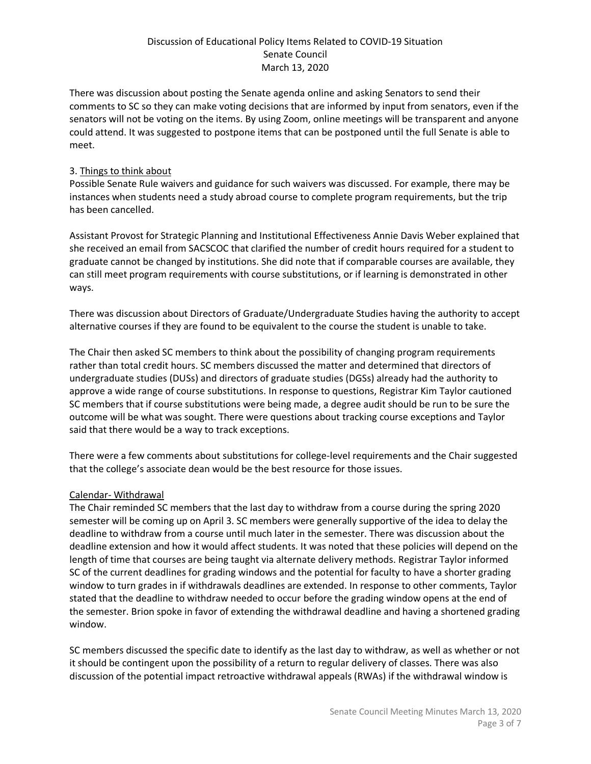There was discussion about posting the Senate agenda online and asking Senators to send their comments to SC so they can make voting decisions that are informed by input from senators, even if the senators will not be voting on the items. By using Zoom, online meetings will be transparent and anyone could attend. It was suggested to postpone items that can be postponed until the full Senate is able to meet.

### 3. Things to think about

Possible Senate Rule waivers and guidance for such waivers was discussed. For example, there may be instances when students need a study abroad course to complete program requirements, but the trip has been cancelled.

Assistant Provost for Strategic Planning and Institutional Effectiveness Annie Davis Weber explained that she received an email from SACSCOC that clarified the number of credit hours required for a student to graduate cannot be changed by institutions. She did note that if comparable courses are available, they can still meet program requirements with course substitutions, or if learning is demonstrated in other ways.

There was discussion about Directors of Graduate/Undergraduate Studies having the authority to accept alternative courses if they are found to be equivalent to the course the student is unable to take.

The Chair then asked SC members to think about the possibility of changing program requirements rather than total credit hours. SC members discussed the matter and determined that directors of undergraduate studies (DUSs) and directors of graduate studies (DGSs) already had the authority to approve a wide range of course substitutions. In response to questions, Registrar Kim Taylor cautioned SC members that if course substitutions were being made, a degree audit should be run to be sure the outcome will be what was sought. There were questions about tracking course exceptions and Taylor said that there would be a way to track exceptions.

There were a few comments about substitutions for college-level requirements and the Chair suggested that the college's associate dean would be the best resource for those issues.

## Calendar- Withdrawal

The Chair reminded SC members that the last day to withdraw from a course during the spring 2020 semester will be coming up on April 3. SC members were generally supportive of the idea to delay the deadline to withdraw from a course until much later in the semester. There was discussion about the deadline extension and how it would affect students. It was noted that these policies will depend on the length of time that courses are being taught via alternate delivery methods. Registrar Taylor informed SC of the current deadlines for grading windows and the potential for faculty to have a shorter grading window to turn grades in if withdrawals deadlines are extended. In response to other comments, Taylor stated that the deadline to withdraw needed to occur before the grading window opens at the end of the semester. Brion spoke in favor of extending the withdrawal deadline and having a shortened grading window.

SC members discussed the specific date to identify as the last day to withdraw, as well as whether or not it should be contingent upon the possibility of a return to regular delivery of classes. There was also discussion of the potential impact retroactive withdrawal appeals (RWAs) if the withdrawal window is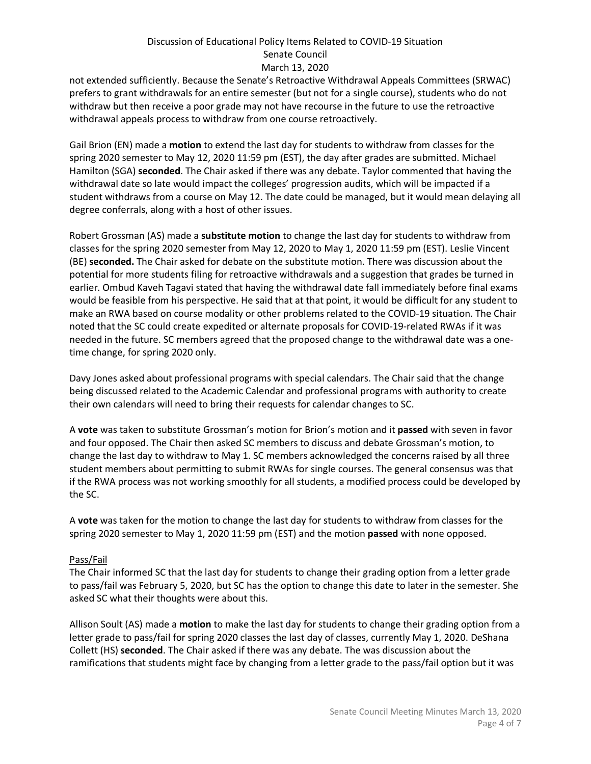not extended sufficiently. Because the Senate's Retroactive Withdrawal Appeals Committees (SRWAC) prefers to grant withdrawals for an entire semester (but not for a single course), students who do not withdraw but then receive a poor grade may not have recourse in the future to use the retroactive withdrawal appeals process to withdraw from one course retroactively.

Gail Brion (EN) made a **motion** to extend the last day for students to withdraw from classes for the spring 2020 semester to May 12, 2020 11:59 pm (EST), the day after grades are submitted. Michael Hamilton (SGA) **seconded**. The Chair asked if there was any debate. Taylor commented that having the withdrawal date so late would impact the colleges' progression audits, which will be impacted if a student withdraws from a course on May 12. The date could be managed, but it would mean delaying all degree conferrals, along with a host of other issues.

Robert Grossman (AS) made a **substitute motion** to change the last day for students to withdraw from classes for the spring 2020 semester from May 12, 2020 to May 1, 2020 11:59 pm (EST). Leslie Vincent (BE) **seconded.** The Chair asked for debate on the substitute motion. There was discussion about the potential for more students filing for retroactive withdrawals and a suggestion that grades be turned in earlier. Ombud Kaveh Tagavi stated that having the withdrawal date fall immediately before final exams would be feasible from his perspective. He said that at that point, it would be difficult for any student to make an RWA based on course modality or other problems related to the COVID-19 situation. The Chair noted that the SC could create expedited or alternate proposals for COVID-19-related RWAs if it was needed in the future. SC members agreed that the proposed change to the withdrawal date was a onetime change, for spring 2020 only.

Davy Jones asked about professional programs with special calendars. The Chair said that the change being discussed related to the Academic Calendar and professional programs with authority to create their own calendars will need to bring their requests for calendar changes to SC.

A **vote** was taken to substitute Grossman's motion for Brion's motion and it **passed** with seven in favor and four opposed. The Chair then asked SC members to discuss and debate Grossman's motion, to change the last day to withdraw to May 1. SC members acknowledged the concerns raised by all three student members about permitting to submit RWAs for single courses. The general consensus was that if the RWA process was not working smoothly for all students, a modified process could be developed by the SC.

A **vote** was taken for the motion to change the last day for students to withdraw from classes for the spring 2020 semester to May 1, 2020 11:59 pm (EST) and the motion **passed** with none opposed.

## Pass/Fail

The Chair informed SC that the last day for students to change their grading option from a letter grade to pass/fail was February 5, 2020, but SC has the option to change this date to later in the semester. She asked SC what their thoughts were about this.

Allison Soult (AS) made a **motion** to make the last day for students to change their grading option from a letter grade to pass/fail for spring 2020 classes the last day of classes, currently May 1, 2020. DeShana Collett (HS) **seconded**. The Chair asked if there was any debate. The was discussion about the ramifications that students might face by changing from a letter grade to the pass/fail option but it was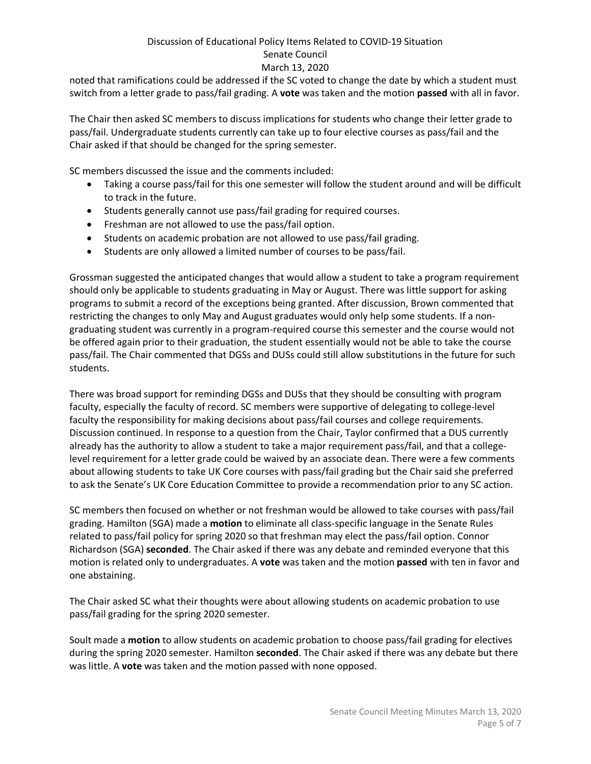noted that ramifications could be addressed if the SC voted to change the date by which a student must switch from a letter grade to pass/fail grading. A **vote** was taken and the motion **passed** with all in favor.

The Chair then asked SC members to discuss implications for students who change their letter grade to pass/fail. Undergraduate students currently can take up to four elective courses as pass/fail and the Chair asked if that should be changed for the spring semester.

SC members discussed the issue and the comments included:

- Taking a course pass/fail for this one semester will follow the student around and will be difficult to track in the future.
- Students generally cannot use pass/fail grading for required courses.
- Freshman are not allowed to use the pass/fail option.
- Students on academic probation are not allowed to use pass/fail grading.
- Students are only allowed a limited number of courses to be pass/fail.

Grossman suggested the anticipated changes that would allow a student to take a program requirement should only be applicable to students graduating in May or August. There was little support for asking programs to submit a record of the exceptions being granted. After discussion, Brown commented that restricting the changes to only May and August graduates would only help some students. If a nongraduating student was currently in a program-required course this semester and the course would not be offered again prior to their graduation, the student essentially would not be able to take the course pass/fail. The Chair commented that DGSs and DUSs could still allow substitutions in the future for such students.

There was broad support for reminding DGSs and DUSs that they should be consulting with program faculty, especially the faculty of record. SC members were supportive of delegating to college-level faculty the responsibility for making decisions about pass/fail courses and college requirements. Discussion continued. In response to a question from the Chair, Taylor confirmed that a DUS currently already has the authority to allow a student to take a major requirement pass/fail, and that a collegelevel requirement for a letter grade could be waived by an associate dean. There were a few comments about allowing students to take UK Core courses with pass/fail grading but the Chair said she preferred to ask the Senate's UK Core Education Committee to provide a recommendation prior to any SC action.

SC members then focused on whether or not freshman would be allowed to take courses with pass/fail grading. Hamilton (SGA) made a **motion** to eliminate all class-specific language in the Senate Rules related to pass/fail policy for spring 2020 so that freshman may elect the pass/fail option. Connor Richardson (SGA) **seconded**. The Chair asked if there was any debate and reminded everyone that this motion is related only to undergraduates. A **vote** was taken and the motion **passed** with ten in favor and one abstaining.

The Chair asked SC what their thoughts were about allowing students on academic probation to use pass/fail grading for the spring 2020 semester.

Soult made a **motion** to allow students on academic probation to choose pass/fail grading for electives during the spring 2020 semester. Hamilton **seconded**. The Chair asked if there was any debate but there was little. A **vote** was taken and the motion passed with none opposed.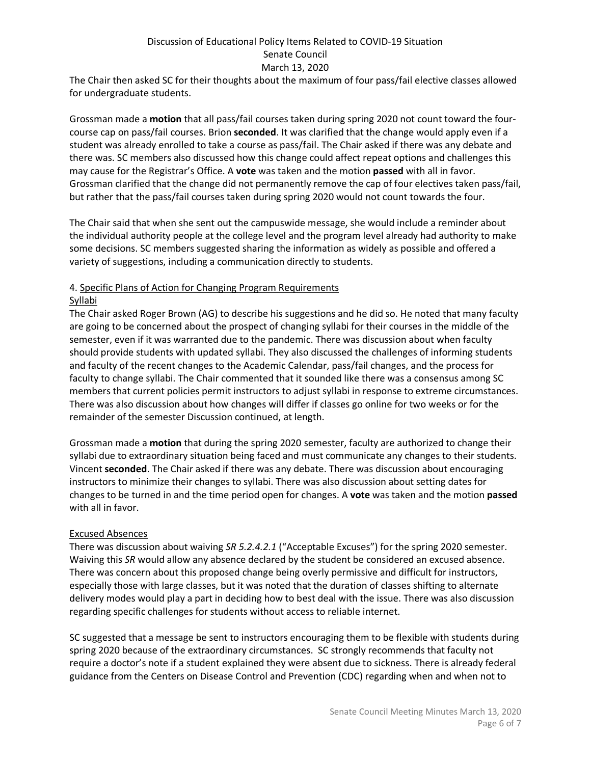The Chair then asked SC for their thoughts about the maximum of four pass/fail elective classes allowed for undergraduate students.

Grossman made a **motion** that all pass/fail courses taken during spring 2020 not count toward the fourcourse cap on pass/fail courses. Brion **seconded**. It was clarified that the change would apply even if a student was already enrolled to take a course as pass/fail. The Chair asked if there was any debate and there was. SC members also discussed how this change could affect repeat options and challenges this may cause for the Registrar's Office. A **vote** was taken and the motion **passed** with all in favor. Grossman clarified that the change did not permanently remove the cap of four electives taken pass/fail, but rather that the pass/fail courses taken during spring 2020 would not count towards the four.

The Chair said that when she sent out the campuswide message, she would include a reminder about the individual authority people at the college level and the program level already had authority to make some decisions. SC members suggested sharing the information as widely as possible and offered a variety of suggestions, including a communication directly to students.

## 4. Specific Plans of Action for Changing Program Requirements

### **Syllabi**

The Chair asked Roger Brown (AG) to describe his suggestions and he did so. He noted that many faculty are going to be concerned about the prospect of changing syllabi for their courses in the middle of the semester, even if it was warranted due to the pandemic. There was discussion about when faculty should provide students with updated syllabi. They also discussed the challenges of informing students and faculty of the recent changes to the Academic Calendar, pass/fail changes, and the process for faculty to change syllabi. The Chair commented that it sounded like there was a consensus among SC members that current policies permit instructors to adjust syllabi in response to extreme circumstances. There was also discussion about how changes will differ if classes go online for two weeks or for the remainder of the semester Discussion continued, at length.

Grossman made a **motion** that during the spring 2020 semester, faculty are authorized to change their syllabi due to extraordinary situation being faced and must communicate any changes to their students. Vincent **seconded**. The Chair asked if there was any debate. There was discussion about encouraging instructors to minimize their changes to syllabi. There was also discussion about setting dates for changes to be turned in and the time period open for changes. A **vote** was taken and the motion **passed** with all in favor.

#### Excused Absences

There was discussion about waiving *SR 5.2.4.2.1* ("Acceptable Excuses") for the spring 2020 semester. Waiving this *SR* would allow any absence declared by the student be considered an excused absence. There was concern about this proposed change being overly permissive and difficult for instructors, especially those with large classes, but it was noted that the duration of classes shifting to alternate delivery modes would play a part in deciding how to best deal with the issue. There was also discussion regarding specific challenges for students without access to reliable internet.

SC suggested that a message be sent to instructors encouraging them to be flexible with students during spring 2020 because of the extraordinary circumstances. SC strongly recommends that faculty not require a doctor's note if a student explained they were absent due to sickness. There is already federal guidance from the Centers on Disease Control and Prevention (CDC) regarding when and when not to